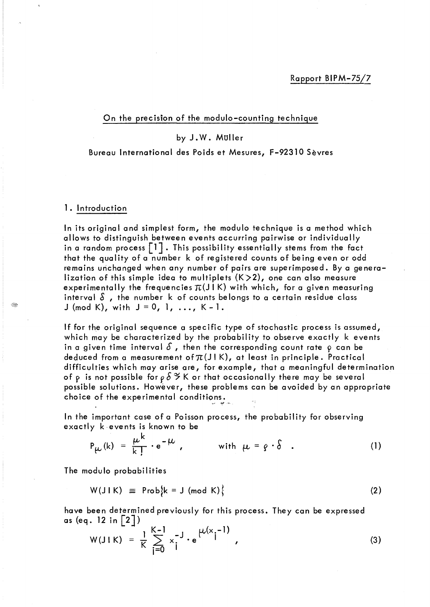## On the precision of the modulo-counting technique

# by J.W. Muller

## Bureau International des Poids et Mesures, F-92310 Sèvres

## 1. Introduction

ln its original and simplest form, the modulo technique is a method which allows to distinguish between events accuvring pairwise or individually in a random process  $\lceil 1 \rceil$ . This possibility essentially stems from the fact that the quality of a number k of registered counts of being even or odd remains unchanged when any number of pairs are superimposed. By a generalization of this simple idea to multiplets  $(K>2)$ , one can also measure experimentally the frequencies  $\pi(J|K)$  with which, for a given measuring interval  $\delta$ , the number k of counts belongs to a certain residue class J (mod K), with  $J = 0, 1, ..., K-1$ .

If for the original sequence a specifie type of stochastic process is assumed, which may be characterized by the probability to observe exactly k events in a given time interval  $\delta$ , then the corresponding count rate  $\rho$  can be deduced from a measurement of  $\pi(J|K)$ , at least in principle. Practical difficulties which may arise are, for example, that a meaningful determination of p is not possible for  $\rho$   $\delta$   $\tilde{\varepsilon}$  K or that occasionally there may be several possible solutions. However, these problems can be avoided by an appropriate choice of the experimental conditions.

ln the important case of a Poisson process, the probability for observing exactly kevents is known to be

'~, *1Jf.I'* .'~.

$$
P_{\mu\nu}(k) = \frac{\mu^{k}}{k!} \cdot e^{-\mu}, \qquad \text{with } \mu = \rho \cdot \delta \quad . \tag{1}
$$

The modulo probabilities

$$
W(J \mid K) \equiv Prob{k = J (mod K)}
$$
 (2)

have been determined previously for this process. They can be expressed as (eq. 12 in  $|2|)$ 

$$
W(J \mid K) = \frac{1}{K} \sum_{j=0}^{K-1} x_j^{-j} \cdot e^{\mu(x_j - 1)}, \qquad (3)
$$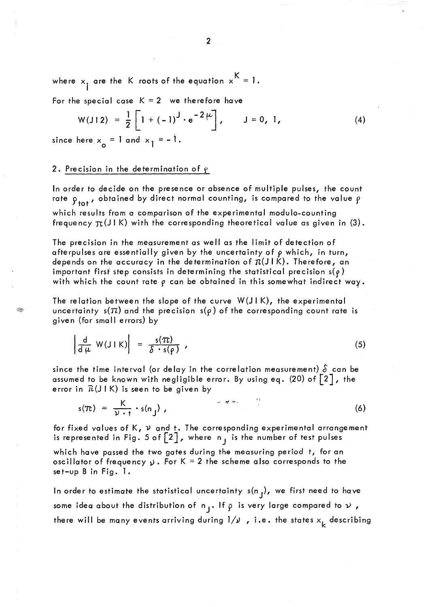where  $x_i$  are the K roots of the equation  $x<sup>K</sup> = 1$ . 1

For the special case  $K = 2$  we therefore have

$$
W(J12) = \frac{1}{2} \left[ 1 + (-1)^{J} \cdot e^{-2\mu} \right], \qquad J = 0, 1,
$$
  
here  $x = 1$  and  $x, = -1$ . (4)

since here  $x_{0} = 1$  and  $x_{1} = -1$ .

## 2. Precision in the determination of  $\gamma$

ln order to decide on the presence or absence of multiple pulses, the count rate  $\rho_{\text{tot}}$ , obtained by direct normal counting, is compared to the value  $\rho$ which results from a comparison of the experimental modulo-counting frequency  $\pi(J1 K)$  with the corresponding theoretical value as given in (3).

The precision in the measurement as weil as the limit of detection of afterpulses are essentially given by the uncertainty of  $\rho$  which, in turn, depends on the accuracy in the determination of  $\pi(J|K)$ . Therefore, an important first step consists in determining the statistical precision  $s(\rho)$ with which the count rate  $\rho$  can be obtained in this somewhat indirect way.

The relation between the slope of the curve  $W(J \mid K)$ , the experimental uncertainty s( $\pi$ ) and the precision s( $\rho$ ) of the corresponding count rate is given (for small errors) by

$$
\left|\frac{d}{d\mu} W(J|K)\right| = \frac{s(\pi)}{\delta \cdot s(\rho)}, \qquad (5)
$$

since the time interval (or delay in the correlation measurement)  $\delta$  can be assumed to be known with negligible error. By using eq. (20) of  $\lceil 2 \rceil$ , the error in  $\mathcal{R}(J \mid K)$  is seen to be given by

$$
s(\pi) = \frac{K}{\nu \cdot t} \cdot s(n_j) \tag{6}
$$

for fixed values of  $K$ ,  $\nu$  and t. The corresponding experimental arrangement is represented in Fig. 5 of  $\begin{bmatrix} 2 \end{bmatrix}$ , where n<sub>j</sub> is the number of test pulses which have passed the two gates during the measuring period t, for an oscillator of frequency  $y$ . For K = 2 the scheme also corresponds to the set-up B in Fig. 1.

In order to estimate the statistical uncertainty  $s(n_j)$ , we first need to have some idea about the distribution of  $n_j$ . If  $\rho$  is very large compared to  $\nu$ , there will be many events arriving during  $1/\nu$  , i.e. the states  $x_k$  describing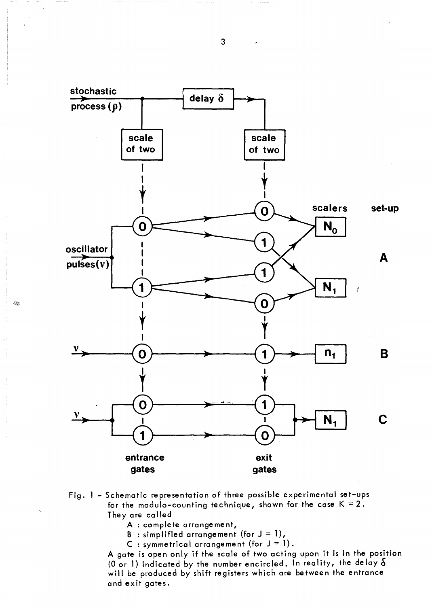

- Fig. l Schematic representation of three possible experimental set-ups for the modulo-counting technique, shown for the case  $K = 2$ . They are called
	- A : complete arrangement,
	- B : simplified arrangement (for  $J = 1$ ),
	- C : symmetrical arrangement (for  $J = 1$ ).

Agate is open only if the scale of two acting upon it is in the position (0 or 1) indicated by the number encircled. In reality, the delay  $\delta$ will be produced by shift registers which are between the entrance and exit gates.

3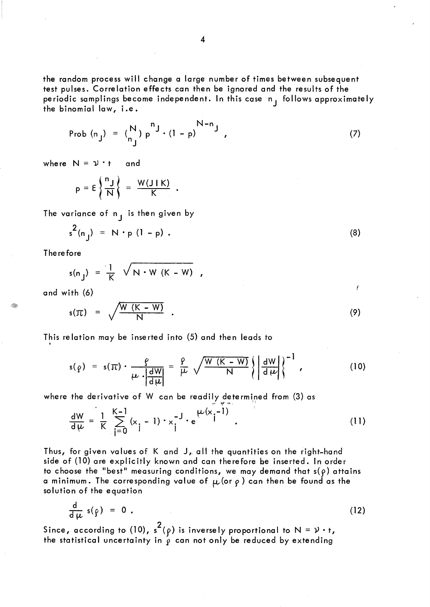the random process will change a large number of times between subsequent test pulses. Correlation effects can then be ignored and the results of the periodic samplings become independent. In this case  $n_1$  follows approximately the binomial law, i.e.

Prob (n<sub>j</sub>) = 
$$
\binom{N}{n_j} p^{n_j} \cdot (1-p)^{N-n_j}
$$
, (7)

where  $N = \mathcal{V} \cdot t$  and

$$
p = E\left\{\frac{n_J}{N}\right\} = \frac{W(J \mid K)}{K}.
$$

The variance of  $n_j$  is then given by

$$
s^{2}(n_{j}) = N \cdot p (l - p)
$$
 (8)

Therefore

$$
s(n_j) = \frac{1}{K} \sqrt{N \cdot W (K - W)},
$$

and with (6)

$$
s(\pi) = \sqrt{\frac{W(K-W)}{N}} \quad . \tag{9}
$$

j

This relation may be inserted into (5) and then leads to .

$$
s(\rho) = s(\pi) \cdot \frac{\rho}{\mu \cdot \left| \frac{dW}{d\mu} \right|} = \frac{\rho}{\mu} \sqrt{\frac{W(K-W)}{N}} \left\{ \left| \frac{dW}{d\mu} \right| \right\}^{-1}, \quad (10)
$$

where the derivative of W can be readily determined from (3) as  
\n
$$
\frac{dW}{d\mu} = \frac{1}{K} \sum_{j=0}^{K-1} (x_j - 1) \cdot x_j^{-J} \cdot e^{\mu(x_j - 1)}
$$
\n(11)

Thus, for given values of K and J, all the quantities on the right-hand side of (10) are explicitly known and can therefore be inserted. In order to choose the "best" measuring conditions, we may demand that  $s(\rho)$  attains a minimum. The corresponding value of  $\mu$  (or  $\rho$  ) can then be found as the solution of the equation

$$
\frac{d}{d\mu} s(\rho) = 0 . \tag{12}
$$

Since, according to (10),  $s^2(\rho)$  is inversely proportional to  $N = \nu \cdot t$ , the statistical uncertainty in  $\rho$  can not only be reduced by extending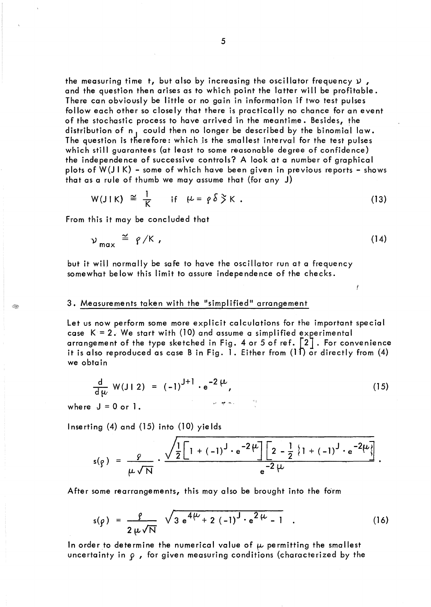the measuring time t, but also by increasing the oscillator frequency  $\nu$ , and the question then arises as to which point the latter will be profitable. There can obviously be little or no gain in information if two test pulses follow each other so closely that there is practically no chance for an event of the stochastic process tohave arrived in the meantime. Besides, the distribution of n<sub>1</sub> could then no longer be described by the binomial law. The question is therefore: which is the smallest interval for the test pulses which still guarantees (at least to some reasonable degree of confidence) the independence of successive controls? A look at a number of graphical plots of W(JIK) - some of which have been given in previous reports - shows that as a rule of thumb we may assume that (for any J)

$$
W(JIK) \cong \frac{1}{K} \quad \text{if} \quad \mu = \rho \delta \tilde{S} K \ . \tag{13}
$$

From this it may be concluded that

$$
\nu_{\text{max}} \stackrel{\simeq}{=} \rho/K \tag{14}
$$

f

but it will normally be safe to have the oscillator run at a frequency somewhat below this limit to assure independence of the checks.

## 3. Measurements taken with the "simplified" arrangement

Let us now perform some more explicit calculations for the important special case  $K = 2$ . We start with (10) and assume a simplified experimental arrangement of the type sketched in Fig. 4 or 5 of ref.  $\left[\begin{smallmatrix}2\end{smallmatrix}\right]$  . For convenience it is also reproduced as case B in Fig. 1. Either from (11) or directly from (4) we obtain

$$
\frac{d}{d\mu} W(J|2) = (-1)^{J+1} \cdot e^{-2\mu}, \qquad (15)
$$

where  $J = 0$  or  $l$ .

Inserting (4) and (15) into (10) yields

$$
s(g) = \frac{g}{\mu \sqrt{N}} \cdot \frac{\sqrt{\frac{1}{2} \left[1 + (-1)^{J} \cdot e^{-2\mu}\right] \left[2 - \frac{1}{2} \left\{1 + (-1)^{J} \cdot e^{-2\mu}\right\}\right]}}{e^{-2\mu}}.
$$

After some rearrangements, this may also be brought into the form

$$
s(\rho) = \frac{\rho}{2 \mu \sqrt{N}} \sqrt{3 e^{4\mu} + 2 (-1)^{3} \cdot e^{2\mu} - 1} \quad .
$$
 (16)

In order to determine the numerical value of  $\mu$  permitting the smallest uncertainty in  $\rho$  , for given measuring conditions (characterized by the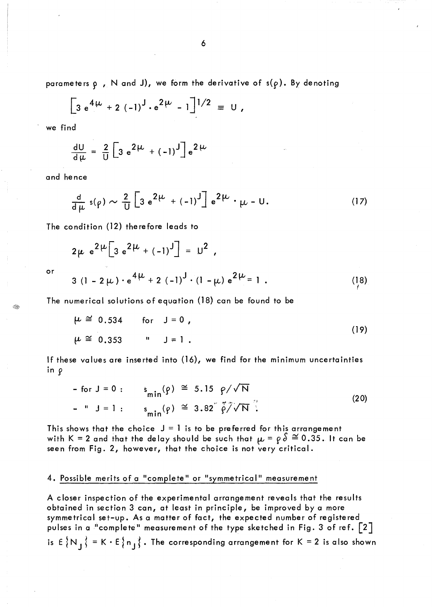parameters  $\rho$ , N and J), we form the derivative of  $s(\rho)$ . By denoting

$$
\left[3 e^{4\mu} + 2 (-1)^{j} \cdot e^{2\mu} - 1\right]^{1/2} \equiv 0 ,
$$

we find

$$
\frac{dU}{d\mu} = \frac{2}{U} \left[ 3 e^{2\mu} + (-1)^J \right] e^{2\mu}
$$

and hence

$$
\frac{\mathrm{d}}{\mathrm{d}\,\mu}\,\mathsf{s}(\rho)\sim\frac{2}{\mathrm{U}}\left[3\,\mathrm{e}^{2\,\mu}\,+\left(-1\right)^{\mathrm{J}}\right]\,\mathrm{e}^{2\,\mu}\,\cdot\,\mu\,-\,\mathrm{U}\,. \tag{17}
$$

The condition (12) therefore leads to

$$
2\mu e^{2\mu} \Big[ 3 e^{2\mu} + (-1)^{J} \Big] = U^2,
$$

or  
3 (1 - 2 
$$
\mu
$$
) · e<sup>4</sup> $\mu$  + 2 (-1)<sup>J</sup> · (1 -  $\mu$ ) e<sup>2</sup> $\mu$  = 1. (18)

The numerical solutions of equation (18) can be found to be

$$
\mu \cong 0.534 \quad \text{for} \quad J = 0 ,
$$
  
\n
$$
\mu \cong 0.353 \quad \text{``} \quad J = 1 .
$$
 (19)

If these values are inserted into (16), we find for the minimum uncertainties in 9

$$
- \text{ for } J = 0: \qquad s_{\min}(p) \cong 5.15 \quad \rho / \sqrt{N}
$$
\n
$$
- \quad " J = 1: \qquad s_{\min}(p) \cong 3.82 \quad \tilde{\rho} / \sqrt{N} \tag{20}
$$

This shows that the choice  $J = 1$  is to be preferred for this arrangement with K = 2 and that the delay should be such that  $\mu = \rho \delta \cong 0.35$ . It can be seen from Fig. 2, however, that the choice is not very critical.

## 4. Possible merits of a "complete" or "symmetrical" measurement

A closer inspection of the experimental arrangement reveals that the results obtained in section 3 can, at least in principle, be improved by a more symmetrical set-up. As a matter of fact, the expected number of registered pulses in a "complete" measurement of the type sketched in Fig. 3 of ref.  $\lceil 2 \rceil$ is  $E\{N_j\} = K \cdot E\{n_j\}$ . The corresponding arrangement for  $K = 2$  is also shown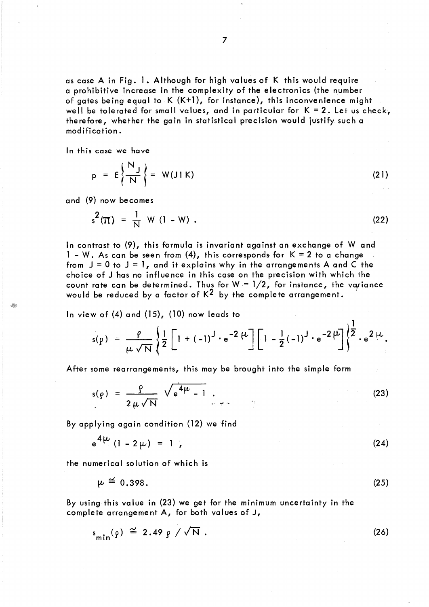as case A in Fig. 1. Although for high values of K this would require a prohibitive increase in the complexity of the electronics (the number of gates being equal to  $K(K+1)$ , for instance), this inconvenience might well be tolerated for small values, and in particular for  $K = 2$ . Let us check, therefore, whether the gain in statistical precision would justify such a modification.

ln this case we have

$$
p = E\left\{\frac{N_J}{N}\right\} = W(J \mid K) \tag{21}
$$

and (9) now becomes

$$
s^{2}(\pi) = \frac{1}{N} W (1 - W) .
$$
 (22)

ln contrast to (9), this formula is invariant against an exchange of W and 1 - W. As can be seen from (4), this corresponds for  $K = 2$  to a change from  $J = 0$  to  $J = 1$ , and it explains why in the arrangements A and C the choice of J has no influence in this case on the precision with which the count rate can be determined. Thus for  $W = 1/2$ , for instance, the variance would be reduced by a factor of  $K^2$  by the complete arrangement.

ln view of (4) and (15), (10) now leads to

$$
s(\rho) = \frac{\rho}{\mu \sqrt{N}} \left\{ \frac{1}{2} \left[ 1 + (-1)^{J} \cdot e^{-2 \mu} \right] \left[ 1 - \frac{1}{2} (-1)^{J} \cdot e^{-2 \mu} \right] \right\}^{\frac{1}{2}} \cdot e^{2 \mu}.
$$

After some rearrangements, this may be brought into the simple form

$$
s(\rho) = \frac{\rho}{2\mu\sqrt{N}} \sqrt{e^{4\mu} - 1} \qquad (23)
$$

By applying again condition (12) we find

$$
e^{4\mu}(1 - 2\mu) = 1 \tag{24}
$$

the numerical solution of which is

 $\mathbf{A}$ 

$$
\mu \cong 0.398. \tag{25}
$$

By using this value in (23) we get for the minimum uncertainty in the complete arrangement A, for both values of J,

$$
s_{\min}(\rho) \cong 2.49 \rho / \sqrt{N} . \qquad (26)
$$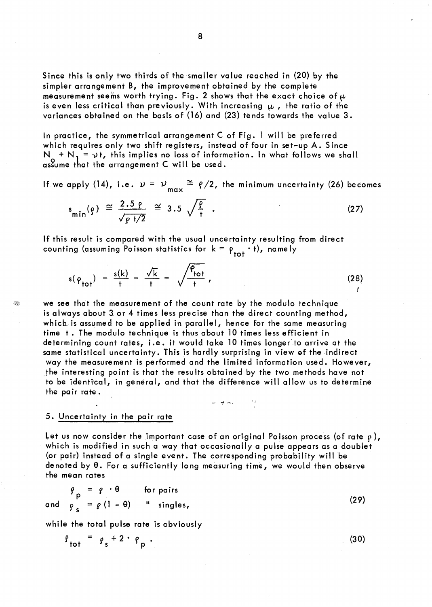Since this is only two thirds of the smaller value reached in (20) by the simpler arrangement B, the improvement obtained by the complete measurement seems worth trying. Fig. 2 shows that the exact choice of  $\mu$ is even less critical than previously. With increasing  $\mu$ , the ratio of the variances obtained on the basis of (16) and (23) tends towards the value 3.

ln practice, the symmetrical arrangement C of Fig. 1 will be preferred which requires only two shift registers, instead of four in set-up A. Since  $N_1 + N_1 = v$ t, this implies no loss of information. In what follows we shall assume that the arrangement C will be used.

If we apply (14), i.e.  $\nu = \nu \frac{\Delta x}{\Delta x} = \rho/2$ , the minimum uncertainty (26) becomes

$$
s_{\min}(\rho) \cong \frac{2.5 \rho}{\sqrt{\rho + 2}} \cong 3.5 \sqrt{\frac{\rho}{t}} \tag{27}
$$

If this result is compared with the usual uncertainty resulting from direct counting (assuming Poisson statistics for  $k = \rho_{tot} \cdot t$ ), namely

$$
s(\varphi_{\text{tot}}) = \frac{s(k)}{t} = \frac{\sqrt{k}}{t} = \sqrt{\frac{\varphi_{\text{tot}}}{t}},
$$
\n(28)

we see that the measurement of the count rate by the modulo technique is always about 3. or 4 times less precise than the direct counting method, which is assumed to be applied in parallel, hence for the same measuring time t. The modulo technique is thus about 10 times less efficient in determining count rates, i.e. it would take 10 times longer to arrive at the same statistical uncertainty. This is hardly surprising in view of the indirect way the measurement is performed and the limited information used. However, .the interesting point is that the results obtained by the two methods have not to be identical, in general, and that the difference will allow us to determine the pair rate. .,/

## 5. Uncertainty in the pair rate

Let us now consider the important case of an original Poisson process (of rate  $\rho$ ), which is modified in such a way that occasionally a pulse appears as a doublet (or pair) instead of a single event. The corresponding probability will be denoted by  $\theta$ . For a sufficiently long measuring time, we would then observe the mean rates

$$
\begin{array}{rcl}\n\mathbf{g} &=& \mathbf{g} \cdot \mathbf{\theta} \qquad \text{for pairs} \\
\mathbf{g} &=& \mathbf{g} \quad (1 - \mathbf{\theta}) \qquad \text{``single},\n\end{array} \tag{29}
$$

while the total pulse rate is obviously

$$
\rho_{\text{tot}} = \rho_{\text{s}} + 2 \cdot \rho_{\text{p}}.
$$

(30)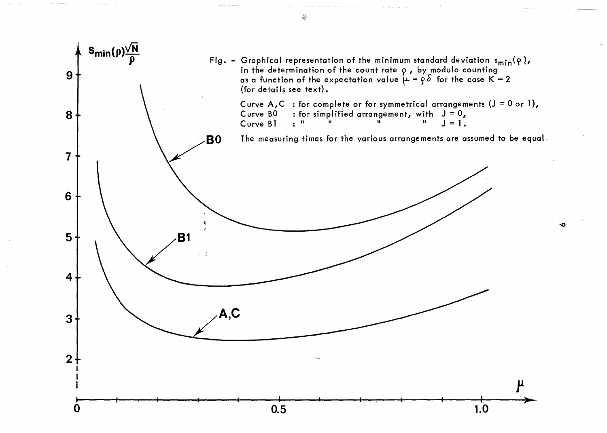

4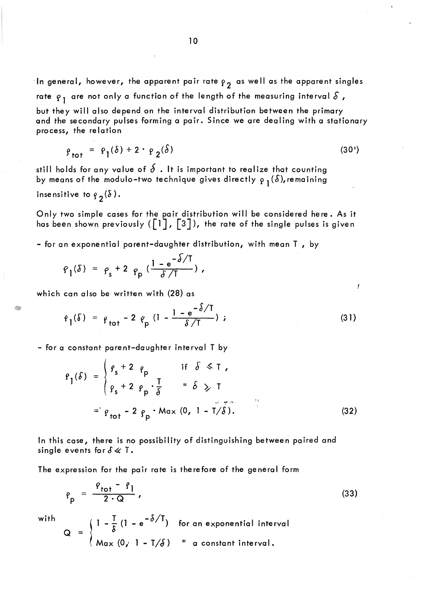In general, however, the apparent pair rate  $\rho_{2}$  as well as the apparent singles rate  $q_1$  are not only a function of the length of the measuring interval  $\delta$ , but they will also depend on the interval distribution between the primary and the secondary pulses forming a pair. Since we are dealing with a stationary process, the relation

$$
\rho_{\text{tot}} = \rho_1(\delta) + 2 \cdot \rho_2(\delta) \tag{30'}
$$

still holds for any value of  $\delta$  . It is important to realize that counting by means of the modulo-two technique gives directly  $\rho_1(\delta)$ , remaining insensitive to  $g_{\mathfrak{p}}(\delta)$ .

Only two simple cases for the pair distribution will be considered here. As it has been shown previously ( $\lceil 1 \rceil$ ,  $\lceil 3 \rceil$ ), the rate of the single pulses is given

- for an exponential parent-daughter distribution, with mean T , by

$$
\rho_1(\delta) = \rho_s + 2 \rho_p \left( \frac{1 - e^{-\delta/T}}{\delta/T} \right),
$$

which can also be written with (28) as

$$
\varrho_1(\delta) = \varrho_{\text{tot}} - 2 \varrho_{\text{p}} (1 - \frac{1 - e^{-\delta/T}}{\delta/T}) \tag{31}
$$

- for a constant parent-daughter interval T by

$$
P_{1}(\delta) = \begin{cases} g_{s} + 2 & \text{if } \delta \leq T, \\ g_{s} + 2 & \text{if } \delta \geq T, \\ g_{s} + 2 & \text{if } \delta \geq T, \end{cases}
$$
  
= 
$$
P_{\text{tot}} - 2 \rho_{\text{p}} \cdot \text{Max} (0, 1 - T/\tilde{\delta}).
$$
 (32)

ln this case, there is no possibility of distinguishing between paired and single events for  $\delta \ll T$ .

The expression for the pair rate is therefore of the general form

$$
\rho_p = \frac{\rho_{\text{tot}} - \rho_1}{2 \cdot Q} \,, \tag{33}
$$

with

 $(1 - \frac{1}{2}) (1 - e^{-\delta/T})$  $\alpha$  =  $(Max(0, 1-T/\delta))$ for an exponential interval  $"$  a constant interval.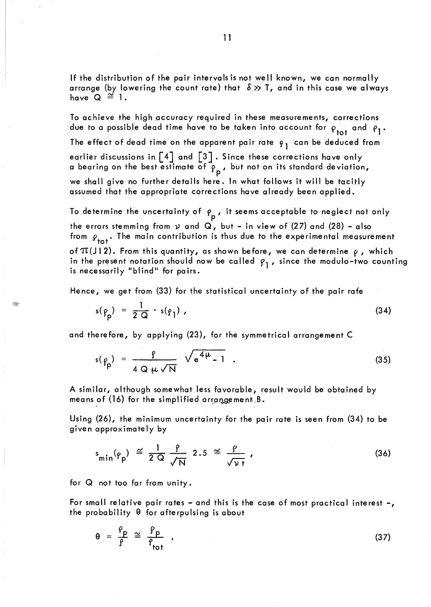If the distribution of the pair intervals is not weil known, we can normally arrange (by lowering the count rate) that  $\delta \gg T$ , and in this case we always have  $Q \cong 1$ .

To achieve the high accuracy required in these measurements, corrections due to a possible dead time have to be taken into account for  $\rho_{tot}$  and  $\rho_{1}$ . The effect of dead time on the apparent pair rate  $\varphi_1$  can be deduced from earlier discussions in  $\begin{bmatrix} 4 \end{bmatrix}$  and  $\begin{bmatrix} 3 \end{bmatrix}$ . Since these corrections have only a bearing on the best estimate of  $\mathfrak{\bar{p}}_{\mathsf{p}}$  , but not on its standard deviation, we shall give no further details here. In what follows it will be tacitly assumed that the appropriate corrections have already been applied.

To determine the uncertainty of  $\rho_p$ , it seems acceptable to neglect not only the errors stemming from *v* and Q, but - in view of (27) and (28) - also from  $\rho_{tot}$ . The main contribution is thus due to the experimental measurement of  $\pi(J|2)$ . From this quantity, as shown before, we can determine  $\rho$ , which in the present notation should now be called  $\beta_1$ , since the modulo-two counting is necessarily "blind" for pairs.

Hence, we get from (33) for the statistical uncertainty of the pair rafe

$$
s(\rho_p) = \frac{1}{2 \Omega} \cdot s(\rho_1) \tag{34}
$$

and therefore, by applying (23), for the symmetrical arrangement C

$$
s(\rho_p) = \frac{\rho}{4 Q \mu \sqrt{N}} \sqrt{e^{4\mu} - 1} \qquad (35)
$$

A similar, although somewhat less favorable, result would be obtained by means of (16) for the simplified arrangement,  $B$ .

Using (26), the minimum uncertainty for the pair rate is seen from (34) to be given approximately by

$$
s_{\min}(p_p) \cong \frac{1}{2 \text{ Q}} \frac{\rho}{\sqrt{\text{N}}} \quad 2.5 \cong \frac{\rho}{\sqrt{\text{N} t}} \tag{36}
$$

for  $Q$  not too far from unity.

For small relative pair rates - and this is the case of most practical interest-, the probability  $\theta$  for afterpulsing is about

$$
\theta = \frac{\rho}{\rho} \cong \frac{\rho}{\rho_{\text{tot}}} \quad . \tag{37}
$$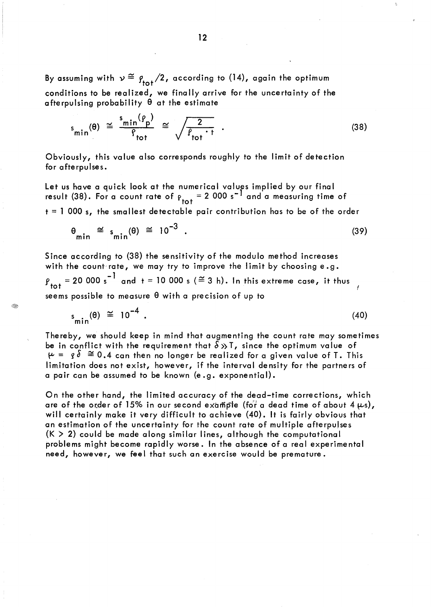By assuming with  $v \stackrel{\sim}{=}$   $\rho_{\text{tot}}/2$ , according to (14), again the optimum conditions to be realized, we finally arrive for the uncertainty of the afterpulsing probability  $\theta$  at the estimate

$$
s_{\min}(\theta) \cong \frac{s_{\min}(\rho_p)}{\rho_{\text{tot}}} \cong \sqrt{\frac{2}{\rho_{\text{tot}} \cdot t}} \quad . \tag{38}
$$

Obviously, this value also corresponds roughly to the limit of detection for afterpulses.

Let us have a quick look at the numerical values implied by our final result (38). For a count rate of  $\rho_{tot} = 2000 s^{-1}$  and a measuring time of  $t = 1000$  s, the smallest detectable pair contribution has to be of the order

$$
\theta_{\min} \cong s_{\min}(\theta) \cong 10^{-3} \quad . \tag{39}
$$

Since according to (38) the sensitivity of the modulo method increases with the count rate, we may try to improve the limit by choosing  $e.g.$ with the count rate, we may try to improve the limit by choosing e.g.<br> $\rho_{\text{tot}} = 20\,000 \text{ s}^{-1}$  and t = 10 000 s ( $\approx$  3 h). In this extreme case, it thus seems possible to measure  $\theta$  with a precision of up to

Œ.

$$
s_{\min}(\theta) \cong 10^{-4} \tag{40}
$$

Thereby, we should keep in mind that augmenting the count rate may sometimes be in conflict with the requirement that  $\delta \gg T$ , since the optimum value of  $\mu = g \delta \approx 0.4$  can then no longer be realized for a given value of T. This limitation does not exist, however, if the interval density for the partners of a pair can be assumed to be known (e .g. exponential).

On the other hand, the limited accuracy of the dead-time corrections, which are of the order of 15% in our second example (for a dead time of about 4  $\mu$ s), will certainly make it very difficult to achieve (40). It is fairly obvious that an estimation of the uncertainty for the count rate of multiple afterpulses  $(K > 2)$  could be made along similar lines, although the computational problems might become rapidly worse. In the absence of a real experimental need, however, we feel that such an exercise would be premature.